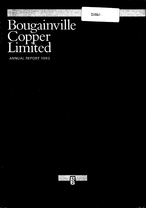$DS61$ .

# Bougainville

e.

en de<br>Gerde

ANNUAL REPORT 1993

W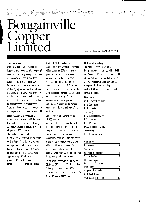### **Bougainville Copper**   $\mathbf{\hat{n}}$ ited

#### **Incorporated in Papua New Guinea A.R.B.N. 007 497 869**

I

•

Copper Limited operated a large open pit which represents 62% of the net cash mine and processing facility at Panguna generated by the project. In addition, on Bougainville Island in the North payments to the North Solomons Solomons Province of Papua New Provincial government and Panguna Guinea producing copper concentrate landowners amount to K106 million. containing significant quantities of gold Funher, the company's presence in the and silver. On 15 May, 1989 production North Solomons Province had promoted was brought to a halt by militant activity, the development of significant local and it is not possible to forecast a date business enterprises to provide goods for recommencement of operations. and services required for the mining There have been no company employees operation and for the residents of the on Bougainville Island since March, 1990. province.

Since inception until cessation of **Company training programs for some** operations on 15 May, 19S9 the mine 12 000 employees, including had produced concentrate containing approximately 1 000 completing full 3.1 million tonnes of copper, 306 tonnes trade apprenticeships and some 400 of gold and 7S3 tonnes of silver. completing graduate and post graduate The production had a value of K5.1 studies, had previously resulted in 44% of Papua New Guinea's exports of the company's employees and also through that period. Contributions to added significantly to the number of the National government in the form skilled workers elsewhere in the approximately 17% of internally the company had no employees. generated Papua New Guinea Bougainville Copper Limited is owned

**The Company A** total of K1 086 million has been From 1972 until 19S9 Bougainville contributed to the National government

billion which represented approximately considerable progress in the localisation of taxes, duties and dividends were country's work force. At the end of 1993,

government revenue over that period. 53.6% by CRA Limited. The Papua New Guinea government owns 19.1% while the remaining 27.3% of the share capital is held by public shareholders.

#### **Notice of Meeting**

The Annual General Meeting of Bougainville Copper Limited will be held at 12 noon on Wednesday, 13 April, 1994 at The Port Moresby Travelodge, Hunter St., Port Moresby, Papua New Guinea. A separate Notice of Meeting is enclosed. All shareholders are cordially invited to attend.

#### **Directors**

M. R. Rayner (Chairman) D. S. Carruthers R. J. Cornelius J. J. Craig P. G. F. Henderson, A.C. I. R. Johnson R. B. Moaina M. A. Moramoro, o.B.E. **Secretary** 

B. P. Bartholomaeus

#### **Contents**

| Introduction                                |       |
|---------------------------------------------|-------|
| Year in Brief                               | 2     |
| Chairman's Statement                        | 3     |
| Year in Review                              | 4     |
| Directors' Report<br>& Financial Statements | 5-15  |
| Declarations                                | 16    |
| Corporate Information                       | 17    |
| <b>Statistical Summary</b>                  | 18-19 |
| Distribution of Benefits                    | 21    |
|                                             |       |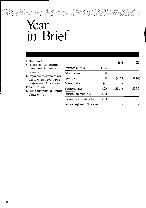# **Year in Brief**

- □ Mine remained closed.
- $\square$  Restoration of services proceeding in most areas of Bougainville other
- to adjacent central Bougainville area.
- $\Box$  Net loss K2.7 million.
- $\Box$  Extent of deterioration and destruction of assets unknown.

| $\Box$ Mine remained closed.<br>$\Box$ Restoration of services proceeding                                                 |                                    |              | 1993    | 1992    |
|---------------------------------------------------------------------------------------------------------------------------|------------------------------------|--------------|---------|---------|
| in most areas of Bougainville other                                                                                       | Concentrate production             | (tonnes)     |         |         |
| than central.                                                                                                             | Net sales revenue                  | (K'000)      |         |         |
| $\Box$ Panguna mine area reported as being<br>deserted with militants withdrawing                                         | Operating loss                     | (K'000)      | (2658)  | (1426)  |
| to adjacent central Bougainville area.<br>$\Box$ Net loss K2.7 million.<br>$\Box$ Extent of deterioration and destruction | Earnings per share                 | $($ toea $)$ |         |         |
|                                                                                                                           | Shareholders' funds                | (K'000)      | 233 782 | 236 440 |
| of assets unknown.                                                                                                        | Depreciation and amortisation      | (K'000)      |         |         |
|                                                                                                                           | Government royalties and taxation  | (K'000)      |         |         |
|                                                                                                                           | Number of employees at 31 December |              |         | 2       |
|                                                                                                                           |                                    |              |         |         |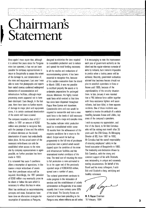# **Chairman's Statement**

Once again I must report that, although designed to minimise the time required it is almost five years since the Panguna to re-establish production and to reduce mine last operated, it has not yet been and spread the total funding necessary. possible for company representatives to In all the studies and evaluations of possible for company returns of  $\frac{1}{2}$ return to Bougainville to assess the extent recommissioning options, it has been<br>of the damage to, and deterioration of, recontrial to recognise that because of the damage to, and deterioration of, assential to recognise that, because the integral to recognise that be<br>The mine and equipment. Last year I was a contribution evening from the i the mine and equipment. Last year I was  $\phantom{0}$  of the sudden evacuation from the island able to state that photographs and reports  $\phantom{0}$  in March 1990, it was not possible able to state that photographs and reports in March 1990, it was not possible<br>from varied sources confirmed widespread in mothball properly the assets of to from varied sources confirmed widespread to mothball properly the assets or to destruction of accommodation and undertake preparations for prolonged<br>infrastructure facilities, although major a closure Moreover, the bigbly trained infrastructure facilities, although major closure. Moreover, the highly trained<br>processing assets appeared not to have sure the matrich existed at that time processing assets appeared not to have work force which existed at that time<br>been destroyed. Even though, in the last share since heen dispersed throughout year, there have been no further reports  $Papua$  New Guinea and elsewhere.<br>of damage to major plant and equipment  $Pansidorable time and cost would be$ of damage to major plant and equipment considerable time and cost would be<br>items, it is certain continued deterioration convired to reassemble and train a ne items, it is certain continued deterioration required to reassemble and train a new<br>of the assets will have occurred.

million. In 1991 an amount of K350 The studies indicate initial production million was provided to recognise that, could be re-established within some with the passage of time and the actions  $\frac{1}{2}$  a months from the achievement of with the passage of time and the actions 18 months from the achievement of the of militant elements on the island. of militant elements on the island, requisite conditions for a return to the deterioration of assets had undoubtedly relaxed Outnut would be built up deterioration of assets had undoubtedly island. Output would be built up<br>taken place. As the actual extent of the incorposively to the full rate of ni necessary write-downs can only be production over a period which would<br>established when access to the mine and upon the condition of the mine site by company representatives is again and infrastructure facilities and the possible, no further provision has been interpretional market conditions of the possible, no further provision has been international market conditions of the made in 1993.

allow a resumption of operations, in due be at the upper end of the previously course a major write-down of assets reported range of K300-K450 million, from their pre-closure values will be spread over a number of years. required. Accordingly, the 1991 provision The national government continues to of K350 million may eventually prove to make progress in the restoration of be above or below the sum which is services and the establishment of orderly necessary to reflect this loss in value.

concepts and costs. Evaluations have of the island. The Security Forces are been done on alternative strategies for reported to have been patrolling in the

has since been dispersed throughout work force to the levels of skill necessary The company recorded a loss of K2.7 to operate such a large and complex mine.

progressively to the full rate of pre-closure depend upon the condition of the mine time. The total cost of returning the mine It is reiterated that even if conditions to full production is now estimated to

administration on Bougainville. It has stated Work has continued on recommissioning recently that it now controls some 90% resumption of operations at Panguna, Panguna area, where militants are still active.

It is encouraging to note the improvement each year of government authority on the island and the regular voluntary surrender of arms by militants, but it remains impossible to predict when a lasting peace will be achieved. Recently, government authorities advised that business houses should not plan to establish operations in Kieta or Arawa until 1995, because of the unpredictability of the security situation there. In late January it was reported that a PNG defence force soldier together with three resistance fighters and seven militants, had been killed, in three separate incidents. One of these incidents was reported to involve the ambush of a vehicle travelling between Arawa and loloho, key areas of the company's operations.

I wish to express my appreciation, and that of the Board, to Mr Bob Cornelius who will be retiring next month after 35 years with the CRA Group. As Managing Director of BCl from 1987 to 1990, Mr Cornelius had the overall responsibility of ensuring employees' safety in the forced evacuation of Bougainville in 1990. The leadership and dedication shown by Bob Cornelius, with the strong and constant support of his wife Elizabeth, was outstanding in unique and extremely testing circumstances. On behalf of the Board and his many colleagues, I wish Bob and Elizabeth a long, satisfying and healthy retirement.

 $\!\!\!/\,\!/$ ayment

**M. R.**  Rayner Chairman 16 February, 1994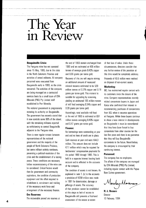### **The Yearin Review**

since 15 May, 1989, due to the crisis tonnes of average grade 0.42% copper in the North Solomons Province and and 0.55 grams per tonne gold. activities of armed militants. All company Recovery of this ore will require mining<br>personnel were evacuated from an additional amount of measured Bougainville early in 1990, as the crisis mineral resource estimated to be 520 are being managed on a contracted grams per tonne gold. This material is services basis by a small team of CRA suitable for upgrading by screening,<br>Minerals (PNG) Pty Limited staff surelation an estimated 195 million to

The national government is progressively 0.28 grams per tonne gold. restoring its authority on Bougainville. <br>Accordingly, total available mill feed The government has recently stated that  $a$  at the end of 1993 is estimated at 691 it now controls some 90% of the island, million tonnes averaging 0.40% copper with the remaining militants reported and 0.47 grams per tonne gold. as withdrawing to central Bougainville **Finance:** 

representatives of the national<br>government and the majority of the same containing the state of the state of the state of the state of the state of the state of the state of the state of the state of the state of the state government and the majority of the million. This amount does not include<br>people of North Solomons Province, the majority of the majority of the magnitude of preventing a political resolution of the the period 1990 through 1993. This is<br>crisis and the establishment of a lasting before recommissioning of the mine can of the company.<br>be considered. Critical factors would<br>the condition of assets is not known. As equipment and the effort required to a provision of K350 million was made<br>religions in 1991 for deterioration, damage or rehabilitate it, recruitment and training in 1991 for determination, damage<br>of the necessary work force and pilferage of assets. The accuracy arrangement of the necessary finance.

**Bougainville Crisis: the end of 1993 remain unchanged from** The Panguna mine has not operated 1989 and are estimated at 496 million an additional amount of measured worsened. The activities of the company million tonnes at 0.22% copper and 0.18 yielding an estimated 195 million tonnes established in Port Moresby. of mill feed averaging 0.34% copper and

adjacent to the Panguna mine.<br>There is now regular contact between and and no lines of credit are in place end and no lines of credit are in place.

people of Nonh Solomons Province, K7.1 million which may be required for but some militant activity continues,<br>preventing a political resolution of the the seried 1000 through 1000 This is crisis and the establishment of a lasting held in a separate interest bearing bank<br>peace. These conditions are necessary and consumer and in adjaced in the accounts peace. These conditions are necessary account and is reflected in the accounts before recommissioning of the mine can

The condition of assets is not known. A<br>aspirations, the condition of production explained in note 1. (a) to the accounts<br>a provision of K350 million was made of the necessary work force and<br>of that provision cannot be established<br>of that provision cannot be established at this stage as lack of access to **Ore Reserves:**<br>Bougainville still prevents a first-hand<br>The recoverable proved ore reserves at<br> $\frac{1}{2}$ assessment of the nature or extent

of that loss of value. Under these circumstances, directors consider that any funher review of the provision at this time would be completely arbitrary. Proceeds of KO.6 million were realised on disposal of non-current assets.

#### **Marketing:**

BCl has maintained regular contact with its customers since the closure of the mine. Company representatives recently visited concentrate buyers in Japan and Korea who confirmed their interest in recommencing purchases of concentrates from BCl when it resumes operations at Panguna. While these buyers continue to show a keen interest in developments on Bougainville it must be remembered that they have been forced to buy concentrate from other sources for the last five years and there is no guarantee that they will buy Bougainville concentrate in the future. Nevertheless, the company is encouraged by their continuing interest.

#### **Personnel:**

The company has no employees. The affairs of the company are managed by CRA Minerals (PNG) Pty Limited, including regular contact with the Papua New Guinea government.

Moseley Moramoro

M. A. Moramoro **Director** 16 February, 1994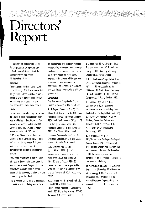# **Directors' Report**

company for the year ended so. but the longer the mine remains

since 15 May, 1989 due to the crisis in progress through consultations with the Bougainville and the activities of armed government. militants, and it has not been possible **Directors:**  for company employees to retum to the The directors of Bougainville Copper island since their withdrawal early in Limited at the date of this report are: 1990. M. R. Rayner (Chairman) Age 56 BSc

the island, a small management team Appointed Managing Director Comalco has now been incorporated into CRA CRA Group Executive since 1982. Minerals (PNG) Pty Limited, a wholly **Appointed Chairman of BCL November**, owned subsidiary of CRA Limited. 1992. Also Director CRA Limited, Dr Moseley Moramoro, the Executive Chairman Pasminco Limited, Deputy a director of the company. This group National Australia Bank Limited. maintains close liaison with the  $D.S.$  Carruthers Age 63 BSc govemment in relation to Bougainville Joined CRA in 1955. Extensive

Restoration of services is continuing in experience. CRA Group Executive all areas of Bougainville other than the 1984-92 and a Director 1989·92. area centred around Panguna. It is not **Retired from executive responsibilities** possible to estimate when a lasting with the CRA Group in October 1992, peace will be achieved, to allow a return and as Chairman of BCL in November, to normality on the island. 1992.

The re-opening of the mine is dependent R. J. Cornelius Age 61 BMetE, MEngSc

The directors of Bougainville Copper on Bougainville. The company remains Limited present their report on the committed to re-opening the mine when audited financial statements of the conditions on the island permit it to do 31 December, 1993. inoperable, the greater will be the cost **Review: CONFIDENTIFY CONFIDENT** of restoration and resumption of The Panguna mine has not operated operations. The company is monitoring

Following withdrawal of employees from (Hons) Thirty-two years with CRA Group. was established in Port Moresby. This 1978, and Chief Executive Officer 1979. Director of CRA Minerals (PNG) is also Chairman Comalco limited, and Director

matters. exploration and operational mining

on political stability being re·established Joined CRA in 1958. Commenced BCl in 1982. General Manager - Concentrator until 1987. Managing Director 1987-90. President CRA Japan Limited 1991-1993. J. J. Craig Age 45 FCA. Dipl Bus Stud Eighteen years with CRA Group including four years BCL. Currently Managing Director CRA Finance Limited.

P. G. F. Henderson AC Age 65 MA Oxon Joined Australian Department of Foreign Affairs 1951. Ambassador to the Philippines 1973-74. Deputy Secretary 1976-79. Secretary 1979·84. Retired Commonwealth Public Service 1985.

I. R. Johnson, Age 53 BSc (Hans) Joined CRA in 1970. Extensive exploration experience including Group Geologist of CRA Exploration. Managing Director of CRA Minerals (PNG) Pty limited, Papua New Guinea from February 1990 to December 1992. Appointed CRA Group Executive in January, 1993.

#### R. B. Moaina Age 44 BSc

Chief Govemment Geologist, Geological Survey Division, PNG Department of Minerals and Energy from February 1986 until appointed Secretary in November, 1993. Extensive experience in govemment administration of the mineral and petroleum industry.

M. A. Moramoro OBE Age 41 BCom, MSc Former Vice Chancellor, PNG University of Technology 1983-90. Joined CRA Minerals (PNG) Pty Limited 1990 - General Manager Corporate Relations. Appointed Executive Director January, 1993.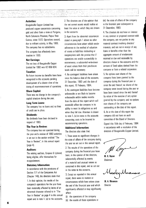#### **Activities:**

Bougainville Copper Limited has produced copper concentrate containing gold and silver from a mine at Panguna, North Solomons Province, Papua New Guinea, since 1972. Operations ceased, due to militant activity, in May 1989. The company has no subsidiaries.

The company has effectively been inactive in 1993.

#### **Net Earnings:**

The net loss of Bougainville Copper Limited for 1993 was K2 658 024.

#### **Taxation:**

No future income tax benefits have been recognised in the accounts pending development of a clearer view of the timing of recommencement of operations.

#### **Share Capital:**

There was no change in the company's capital structure during the year.

#### **Long Term Loans:**

The company has no loans and no lines of credit are in place.

#### **Dividends:**

No dividends have been declared in respect of 1993.

#### **The Year in Review:**

The company has not operated during the year and a review of 1993 activities is set out in the section entitled "The Year in Review", in this annual report (page 4).

#### **Auditors:**

The retiring auditors, Coopers & Lybrand, being eligible, offer themselves for re-appointment.

#### **Statutory Information:**

In accordance with the provisions of Section 171 of the Companies Act (Chapter 146). the directors state that:

1. In their opinion, the results of the company's operations for the year have been materially affected by items of an abnormal character referred to in "The Year in Review" on page 4 in this annual report and in note  $1.$  (a) to the accounts. 2. The directors are of the opinion that the net current assets would realise at least the value at which they are shown in the accounts.

3. Apart from the abnormal occurrences stated in paragraph 1 above no other circumstances have arisen which render adherence to the method of valuation of assets or liabilities misleading or inappropriate with the proviso that if operations are unable successfully to recommence, a substantial write-down of asset values from their pre-closure levels will be necessary.

4. No contingent liabilities have arisen since the balance date of the accounts, 31 December, 1993 until the date of this repon, 16 February, 1994.

5. No contingent liabilities have become enforceable or are likely to become enforceable within twelve months from the date of this report which will materially affect the company in its ability to meet its obligations as and when they fall due. Attention is drawn to note 1. (a) in notes to the accounts concerning costs to be incurred in recommencing operations.

#### **Additional Information:**

The directors also state that:

1. There were no significant changes in the state of affairs of the company during the year as set out in this annual report.

2. The results of the operations of the company during the financial year have been, in the opinion of the directors, substantially affected by events of a material and unusual nature as contained in this report, and as set out in the notes to the accounts.

3. Except as reponed in this annual report, there were no matters or circumstances which have arisen since the end of the financial year and which significantly affected or may significantly affect:

- (i) the operations of the company
- (ii) the results of those operations or

(iii) the state of affairs of the company in the financial year subsequent to 31 December, 1993.

4. The directors do not have an interest in any contract or proposed contract with the company, are not panies to any material contract involving directors interests, and are not in receipt of any loans or benefits other than the aggregate amount of emoluments received or due and receivable by directors shown in the accounts and the amount of fixed salary derived from the company or from a related corporation.

5. No options over shares of the company have been granted by the company during the financial year or since the end thereof; no shares of the company were issued during the year or have been issued since the end thereof by virtue of the exercise of any option granted by the company; and no options over shares of the company are outstanding at the date of this report.

6. As at the date of this report the company did not have an audit committee of the Board of Directors.

Signed this 16th day of February, 1994 in accordance with a resolution of the directors of Bougainville Copper Limited.

M. R. Rayner Chairman

Moseley Movamoro

**M, A. Moramoro Director**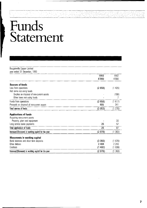### **Funds Statement**

| Bougainville Copper Limited                         |         |         |
|-----------------------------------------------------|---------|---------|
| year ended 31 December, 1993                        |         |         |
|                                                     | 1993    | 1992    |
|                                                     | K'000   | K'000   |
| <b>Sources of funds</b>                             |         |         |
| Loss from operations                                | (2658)  | (1426)  |
| Add items not using funds                           |         |         |
| Surplus on disposal of non-current assets           |         | (198)   |
| Other items not using funds                         |         | 7       |
| Funds from operations                               | (2658)  | (1617)  |
| Proceeds on disposal of non-current assets          | 605     | 341     |
| <b>Total sources of funds:</b>                      | (2 053) | (1 276) |
| <b>Applications of funds</b>                        |         |         |
| Acquiring non-current assets                        |         |         |
| Property, plant and equipment                       |         | 30      |
| Long service leave payments                         | 25      | 57      |
| Total applications of funds:                        | 25      | 87      |
| Increase/(Decrease) in working capital for the year | (2 078) | (1363)  |
| <b>Movements in working capital</b>                 |         |         |
| Bank balances and short term deposits               | (3 050) | (1976)  |
| Other debtors                                       | 2 4 6 4 | 2 2 4 3 |
| Creditors                                           | (1492)  | (1 630) |
| Increase/(Decrease) in working capital for the year | (2 078) | (1363)  |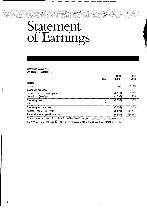# Statement of Eamings

| Bougainville Copper Limited                                                                  |              |                    |                    |
|----------------------------------------------------------------------------------------------|--------------|--------------------|--------------------|
| year ended 31 December, 1993                                                                 |              |                    |                    |
|                                                                                              | <b>Notes</b> | 1993<br>K'000      | 1992<br>K'000      |
| Income<br>Interest                                                                           |              | 1745               | 2 166              |
| <b>Costs and expenses</b><br>General and administration expenses<br>Net exchange (loss)/gain | 4            | (4 111)<br>292)    | (5122)<br>530      |
| <b>Operating Loss</b><br>Income tax                                                          | 3            | (2658)             | (1426)             |
| Operating loss after tax<br>Retained losses brought forward                                  |              | (2658)<br>(195899) | (1426)<br>(194473) |
| <b>Retained losses carried forward</b>                                                       |              | (198557)           | (195 899)          |

All amounts are expressed in Papua New Guinea kina. Rounding to the nearest thousand kina has been adopted. The notes commencing on page 10 form part of these accounts and are to be read in conjunction with them.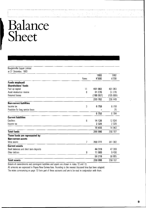# **Balance Sheet**

| Bougainville Copper Limited<br>at 31 December, 1993 |              |          |           |
|-----------------------------------------------------|--------------|----------|-----------|
|                                                     |              | 1993     | 1992      |
|                                                     | <b>Notes</b> | K'000    | K'000     |
| <b>Funds employed:</b>                              |              |          |           |
| Shareholders' funds                                 |              |          |           |
| Paid up capital                                     | 11           | 401 063  | 401 063   |
| Asset revaluation reserve                           | 8            | 31 276   | 31 276    |
| <b>Retained losses</b>                              |              | (198557) | (195 899) |
|                                                     |              | 233 782  | 236 440   |
| <b>Non-current liabilities</b>                      |              |          |           |
| Income tax                                          | 3            | 6759     | 6759      |
| Provision for long service leave                    |              |          | 25        |
|                                                     |              | 6759     | 6 7 8 4   |
| <b>Current liabilities</b>                          |              |          |           |
| Creditors                                           | 6            | 14 126   | 12 634    |
| Income tax                                          |              | 2 3 2 9  | 2 3 2 9   |
|                                                     |              | 16 455   | 14 963    |
| <b>Total funds</b>                                  |              | 256 996  | 258 187   |
| These funds are represented by:                     |              |          |           |
| <b>Non-current assets</b>                           |              |          |           |
| Mine assets                                         | 7            | 200 777  | 201 382   |
| <b>Current assets</b>                               |              |          |           |
| Bank balances and short term deposits               |              | 44 319   | 47 369    |
| Other debtors                                       | 9            | 11 900   | 9 4 3 6   |
|                                                     |              | 56 219   | 56 805    |
| <b>Total assets</b>                                 |              | 256 996  | 258 187   |

Details of commitments and contingent liabilities and assets are shown in notes 10 and 13.

All amounts are expressed in Papua New Guinea kina. Rounding to the nearest thousand kina has been adopted. The notes commencing on page 10 form part of these accounts and are to be read in conjunction with them.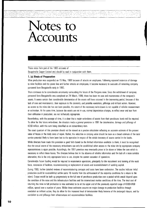### **Notes to Accounts**

These notes form part of the 1993 accounts of Bougainville Copper Limited and should be read in conjunction with them.

#### **1. (a) Basis of Preparation**

Mine production was suspended on 15 May, 1989 because of attacks on employees. Following repeated instances of damage to mine facilities and the power line and funher attacks on employees, it became necessary to evacuate all remaining company personnel from 80ugainville early in 1990.

There continues to be considerable uncertainty surrounding the future of the Panguna mine. Since the withdrawal of company personnel from Bougainville was completed on 24 March, 1990, there has been no care and maintenance of the company's assets. It seems cenain that considerable deterioration of the assets will have occurred in the intervening period, because of this lack of care and maintenance, their exposure to the elements, and possible vandalism, pilferage and militant action. However, as access to the mine site has not been possible, the extent of the necessary write-downs is not capable of reliable measurement or estimation. At the same time, because the assets are not in use, normal depreciation charges, to reflect wear and tear from their utilisation in production, are not technically appropriate.

Nevenheless, with the passage of time, it is clear that a major write-down of assets from their pre-closure levels will be required. To allow for this future write-down, the directors made a general provision in 1991 for deterioration, damage and pilferage of K350 million, with this sum being classified as an extraordinary item.

The exact quantum of this provision should not be viewed as a precise calculation reflecting an accurate estimate of the present value of losses or the likely costs of repair. Rather, the reduction in carrying value should be seen as a broad estimate of the total service potential likely to have been lost to the operation in respect of the whole inventory of assets carried in the books.

While directors have made this provision in good faith based on the limited information available to them, it must be recognised that the actual extent of the necessary write-downs can only be established when access to the mine site by appropriate company representatives is again possible. Accordingly, the 1991 provision may eventually prove to be above or below the sum which is necessary to reflect these losses. The directors believe that in the absence of reliable information and the lack of a more suitable alternative, this is the only appropriate basis to use, despite the current cessation of operations.

Considerable future funding would be required to recommence operations, principally for the recruitment and training of the work force, restoration of facilities, recommissioning or replacement of assets and re-establishment of working capital.

During 1993, funher detailed reviews of recommissioning concepts and costs have been undenaken. The studies indicate initial production could be re-established within some 18 months from the achievement of the requisite conditions for a return to the island. Output would be built up progressively to the full rate of pre-closure production over a period which would depend upon the condition of the mine and the infrastructure facilities and the international market conditions of the time. The total cost of returning the mine to full production is now estimated to be at the upper end of the previously reponed range of K300-K450 million, spread over a number of years. Whilst these estimates assume no major damage to production facilities through vandalism or militant action, they do allow for the increased level of deterioration likely because of the prolonged closure, and for vandalism to and pilferage from infrastructure and accommodation facilities.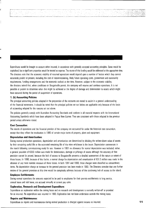Expenditures would be brought to account when incurred, in accordance with generally accepted accounting principles. Some would be capitalised, but a significant proponion would be treated as expense. The source of this funding would be addressed at the appropriate time. The directors note that the economic viability of resumed operations would depend upon a number of factors which they cannot accurately predict at present, including the cost of recommissioning, likely future operating costs, government and community requirements, funding arrangements and the economic outlook at the time. However, subject to the economic viability, the directors intend that. when conditions on Bougainville permit. the company will resume and continue operations. It is not possible at present to determine when this might be achieved or the degree of damage and deterioration to assets which might have occurred during the period of suspension of operations.

#### **1. (b) Accounting Policies**

l I

> The principal accounting policies adopted in the preparation of the accounts are stated to assist in a general understanding of the financial statements. It should be noted that the principal policies set out below are applicable only because of the basis of accounting adopted for the reasons set out above.

> The policies generally comply with Australian Accounting Standards and conform in all material respects with the International Accounting Standards which have been adopted in Papua New Guinea. They are consistent with those adopted in the previous period unless otherwise stated.

#### **Cost Convention:**

The results of operations and the financial position of the company are accounted for under the historical cost convention, except that they reflect the revaluation in 1980 of certain major items of property, plant and equipment.

#### **Depreciation and Amortisation:**

During normal production operations, depreciation and amortisation are determined by dividing the written·down value of assets by their remaining useful life or the estimated remaining life of the mine whichever is the lesser. Depreciation commences in the month following commissioning ready for use. However in 1991 no allowance for normal depreciation was included; rather, a general provision of K350 million was made for deterioration, damage or pilferage of assets although the accuracy of that provision cannot be proved, because the lack of access to Bougainville prevents a detailed assessment of the nature or extent of those losses. In 1990, because of this factor, a normal charge for depreciation and amonisation of K51.5 million was made in the absence of any more realistic measure of those losses. In both 1991 and 1990, these charges were classified as extraordinary items. No depreciation charge or increase to the general provision has been made in 1993. The Directors consider that any funher review of the general provision at this time would be completely arbitrary because of the continuing lack of access to the island.

#### **Employee Entitlements:**

During normal operations the amounts expected to be paid to employees for their pro-rata entitlements to long service, annual leave and sick leave, are accrued annually at current pay rates.

#### **Exploration, Research and Development Expenditure:**

Expenditure on exploration within the mining lease and on research and development is normally written·off or provided for as incurred. No expenditure was incurred in 1993. Exploration has not been undenaken outside the mining lease.

#### **Repairs and Maintenance:**

Expenditure on repairs and maintenance during normal production is charged against income as incurred. **11**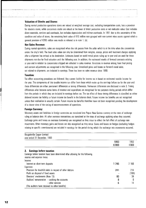#### **Valuation of Stocks and Stores:**

During normal production operations stores are valued at weighted average cost, excluding transponation costs, less a provision for obsolete stores, while concentrate stocks are valued at the lower of direct production costs or net realisable value. Cost includes direct materials, services and overheads, but excludes depreciation and indirect overheads. In 1991 due to the uncenainty of the condition and value of stores, the remaining book value of K10 million was grouped with non-current mine assets against which a general provision of K350 million was made as referred to in note 1. (a).

#### **Net Sales Revenue:**

 $\ddot{\cdot}$ 

During normal operations, sales are recognised when the risk passes from the seller which is at the time when the concentrate enters the ship's hold. The final sales value can only be determined from weights, assays, prices and treatment charges applying after a shipment has arrived at its destination. Estimates based on world metal prices ruling up to year end are used for those shipments not due for final valuation until the following year. In addition, the estimated results of forward contracts existing at year end in relation to concentrates shipped are reflected in sales revenue. Variations in revenue arising from final pricing and out-turn adjustments are recognised in the following year. Unrealised gains and losses on forward metal sales, not related to shipments, are included in earnings. There has been no sales revenue since 1990.

#### **Taxation:**

Tax effect accounting procedures are followed. Any current liability for income tax is based on estimated taxable income for the year. The components of this taxable income can differ from those which make up the earnings before tax for the year and these differences are either permanent differences or timing differences. Permanent differences are disclosed in note 3. Timing differences arise because some items of revenue and expenditure are recognised for tax purposes during periods which differ from the periods in which they are included in earnings before tax. The tax effect of these timing differences is classified as either deferred income tax liability or future income tax benefit in the balance sheet. Future income tax benefits are not recognised unless their realisation is virtually cenain. Future income tax benefits therefore have not been recognised pending the development of a clearer view of the timing of recommencernent of operations.

#### **Foreign Currency:**

Monetary assets and liabilities in foreign currencies are translated into Papua New Guinea currency at the rates of exchange ruling at balance date. All other overseas transactions are translated at the rates of exchange applying when they occurred. Exchange gains and losses on overseas borrowings are recognised as they occur to reflect the full effect of exchange rate movements. Other monetary gains and losses are also recognised as they occur. Gains and losses on hedges (excluding hedges relating to specific commitments) are included in earnings for the period during which the exchange rate movements occurred.

|                                                                                | 1993<br><b>K'000</b> | 1992<br>K'000 |
|--------------------------------------------------------------------------------|----------------------|---------------|
|                                                                                |                      |               |
| <b>Earnings before taxation</b>                                                |                      |               |
| Earnings before taxation have been determined after allowing for the following |                      |               |
| income and expense items:                                                      |                      |               |
| Income:                                                                        |                      |               |
| Interest on short term deposits                                                | 1745                 | 2 166         |
| Expenses:                                                                      |                      |               |
| Provision for doubtful debts in respect of other debtors                       | 241                  | 214           |
| Profit on disposal of fixed assets                                             |                      | (198)         |
| Directors' emoluments (Note 13)                                                | 60                   | 39            |
| Auditors' remuneration - auditing the accounts                                 | 8                    | 8             |
| - other services                                                               | 5                    | 14            |
| (The auditors have received no other benefits)                                 |                      |               |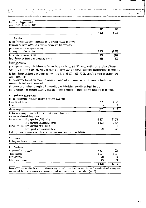### · Bougainville Copper Limited year ended 31 December, 1993

|  |               |  |  | 1993  | 1992  |
|--|---------------|--|--|-------|-------|
|  | __<br>------- |  |  | K'000 | K'000 |
|  |               |  |  |       |       |

### **3. Taxation**

(a) The following reconciliation discloses the items which caused the charge

for income tax in the statements of earnings to vary from the income tax

prima facie payable on reported earnings:

| Operating loss before taxation                    | (2658) | -4261 |  |
|---------------------------------------------------|--------|-------|--|
| Prima facie income tax $@35\%$                    | (930)  | (499) |  |
| Future income tax benefits not brought to account | 930    | 499   |  |
| Incomo tay avannon                                |        |       |  |

Income tax expense

(b) An agreement between the Independent State of Papua New Guinea and CRA Limited provides for the deferral of income tax payable in respect of the 1989 year until certain criteria have been met following successful recommencement of operations.

(c) Future income tax benefits not brought to account total K78 192000 (1992 K77 262 ODD). This benefit for tax losses will only be obtained if:

(i) the company derives future assessable income of a nature and of an amount sufficient to enable the benefit from the deductions for the losses to be realised;

(ii) the company continues to comply with the conditions for deductibility imposed by tax legislation; and

(iii) no changes in tax legislation adversely affect the company in realising the benefit from the deductions for the losses.

### **4. Exchange Fluctuation**

(a) The net exchange (Ioss)/gain reflected in earnings arose from:

| (292)   | 521    |
|---------|--------|
|         | 9      |
| (292)   | -530   |
|         |        |
|         |        |
| 39 30 7 | 44 019 |
| 3423    | 2 704  |
|         | 4      |
| 573     | 221    |
|         |        |
|         |        |

### **5. Loans**

| No long term loan facilities are in place. |         |         |
|--------------------------------------------|---------|---------|
| <b>Creditors</b><br>6.                     |         |         |
| Landowners' compensation                   | 7 1 2 3 | 4 9 9 8 |
| Trade creditors                            | 6934    | 6 9 9 1 |
| Other creditors                            | 26      | 95      |
| Related corporations                       | 43      | 550     |
|                                            | 14 126  | 12 634  |

Landowners' compensation for which the company may be liable is transferred each quarter into a separate interest bearing bank account and shown in the accounts of the company with an offset amount in Other Debtors (note 9).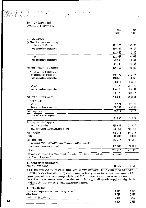#### Bougainville Copper Limited year ended 31 December, 1993

| your onaca o'r poconnou, rooc                                            | 1993      | 1992      |
|--------------------------------------------------------------------------|-----------|-----------|
|                                                                          | K'000     | K'000     |
| <b>Mine Assets</b><br>L                                                  |           |           |
| (a) Mine development and buildings                                       |           |           |
| - at directors' 1980 valuation                                           | 292 206   | 292 206   |
| Less accumulated depreciation                                            | 159 721   | 159 721   |
|                                                                          | 132 485   | 132 485   |
| - at cost                                                                | 102 988   | 102 988   |
| Less accumulated depreciation                                            | 38 664    | 38 664    |
|                                                                          | 64 324    | 64 324    |
| Net mine development and buildings                                       | 196 809   | 196 809   |
| (b) Plant, machinery & equipment                                         |           |           |
| - at directors' 1980 valuation                                           | 245 177   | 245 177   |
| Less accumulated depreciation                                            | 148 866   | 148 866   |
|                                                                          | 96 311    | 96 311    |
| - at cost                                                                | 304 475   | 304 475   |
| Less accumulated depreciation                                            | 104 703   | 104 703   |
|                                                                          | 199 772   | 199 772   |
| Net plant, machinery & equipment                                         | 296 083   | 296 083   |
| (c) Mine property                                                        |           |           |
| - at cost                                                                | 62 121    | 62 121    |
| Less accumulated amortisation                                            | 46 204    | 46 204    |
| Net mine property                                                        | 15917     | 15917     |
| (d) Capitalised works in progress                                        |           |           |
| - at cost                                                                | 31 965    | 32 570    |
| Total property, plant & equipment                                        |           |           |
| - at cost or valuation                                                   | 1 038 932 | 1 039 537 |
| Less accumulated depreciation/amortisation                               | 498 158   | 498 158   |
| Net book value                                                           | 540 774   | 541 379   |
| <b>Stores</b>                                                            | 10 003    | 10 003    |
| Total mine assets                                                        | 550 777   | 551 382   |
| Less general provision for deterioration, damage and pilferage since the |           |           |
| withdrawal of company personnel                                          | 350 000   | 350 000   |
| Net value                                                                | 200 777   | 201 382   |

The basis of valuation of these assets are set out in note 1. (b) of the accounts and attention is drawn to note 1.(a) titled "Basis of Preparation".

#### 8, **Asset Revaluation Reserve**

Asset revaluation reserve 31 276 31 276

In 1980 mine assets were revalued by K300 million. A majority of the reserve created by this revaluation was distributed to shareholders by way of bonus shares leaving a residual amount as shown in this note that has been carried forward. In 1991 a general provision for deterioration, damage and pilferage of K350 million was made for the reasons set out in note 1. (a). This provision does not represent a revaluation of mine assets and in accordance with generally accepted accounting principles no adjustment has been made to the residual asset revaluation reserve.

| 7 1 2 3 | 4 9 9 8 |
|---------|---------|
| 5795    | 5 2 3 7 |
| (1 018) | 1799)   |
| 11900   | 9436    |
|         |         |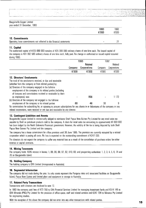|                                                                                          | 1993<br>K'000 | 1992<br>K'000 |
|------------------------------------------------------------------------------------------|---------------|---------------|
| 10. Commitments<br>Operating lease commitments not reflected in the financial statements |               |               |

#### **11. Capital**

The authorised capital of K425 000 000 consists of 425 000 000 ordinary shares of one kina each. The issued capital of the company is 401 062500 ordinary shares of one kina each. fully paid. No change in authorised or issued capital occurred during 1993.

|                                                                                                                                |         | 1993           | 1992    |              |  |
|--------------------------------------------------------------------------------------------------------------------------------|---------|----------------|---------|--------------|--|
|                                                                                                                                |         | <b>Related</b> |         | Related      |  |
|                                                                                                                                | Company | Corporations   | Company | Corporations |  |
|                                                                                                                                | K'000   | <b>K'000</b>   | K'000   | K'000        |  |
| 12. Directors' Emoluments                                                                                                      |         |                |         |              |  |
| The total of the emoluments received, or due and receivable                                                                    |         |                |         |              |  |
| (whether from the company or from related parties) by:                                                                         |         |                |         |              |  |
| (a) Directors of the company engaged in the full-time                                                                          |         |                |         |              |  |
| employment of the company or its related parties (including                                                                    |         |                |         |              |  |
| all bonuses and commissions received or receivable by them                                                                     |         |                |         |              |  |
| as employees), was                                                                                                             |         | 956            |         | 1 1 7 2      |  |
| (b) Directors of the company not engaged in the full-time                                                                      |         |                |         |              |  |
| employment of the company or its related parties                                                                               | 60      | 48             | 39      | 9            |  |
| No commissions for subscribing for, or agreeing to procure subscriptions for any shares in or debentures of the company or any |         |                |         |              |  |

related corporations, were received or are due and receivable by any director.

### **13. Contingent Liabilities and Assets**

Bougainville Copper Limited is contractually obliged to reimburse Shell Papua New Guinea Pty Limited for any retail sales tax payable by Shell on petroleum products sold to the company. A claim for retail sales tax amounting to approximately K4 663 000 has been lodged by the Nonh Solomons Provincial government. However, the validity of the tax is being disputed by both Shell Papua New Guinea Pty Limited and the company.

The company has a lease commitment for office premises until 30 June 1995. The premises are currently occupied by a related corporation which is paying all costs. No loss is expected on the outstanding commitment of K247 000.

The directors do not expect the company to suffer any material loss as a result of the cancellation of purchase orders for either revenue or capital contracts.

### **14, Mining Tenements**

The company holds 100% interest in leases: 1, 89, 86, 88, 87, 82, 810, 83; and prospecting authorities: 1, 2, 3, 4, 5, 6, 7 A and 78 on 80ugainville Island.

#### **15, Holding Company**

The holding company is CRA Limited (incorporated in Australia).

#### **16, Segmental Information**

The company did not trade during the year. Its only assets represent the Panguna mine and associated facilities on Bougainville Island, Papua New Guinea and limited plant and equipment in storage in Australia.

### **17. Related Party Transactions**

Transactions with directors are disclosed in note 12.

In 1993 the company paid fees of K73 700 to CRA Financial Services Limited for managing investment funds and K514 145 to CRA Minerals (PNG) Pty Limited for the provision of office space, staff and related services and K247 704 to Minenco Pty Limited for engineering studies.

With the exception of the above the company did not enter into any other transactions with related parties. **15**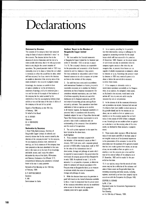### **Declarations**

#### **Statement by Directors**

The accounts of the company have been prepared using the basis of valuation described in note 1 to the accounts. The directors believe that in the absence of reliable information and the lack of a more suitable alternative, this is the only appropriate basis to use, despite the current cessation of operations. The general provision made in 1991 may eventually prove 10 be above or below the sum which is necessary to reflect the actual loss in value. which will have occurred. For these reasons the directors are unable to determine if the carrying value of the assets included in the accounts is properly stated.

Accordingly. the directors are unable to form an opinion whether or not the accompanying statement of earnings and funds statement give a true and fair view of the results of the business of the company for the period covered by the statements or that the accompanying balance sheet exhibits a true and fair view of the state of affairs of the company at the end of that period.

Signed at Port Moresby on this 16th day of February, 1994. On behalf of the Board M. R. RAYNER Chairman M. A. MORAMORO Director

#### **Declaration by Secretary**

I, Brian Phillip Bartholomaeus. Secretary of Bougainville Copper Limited, do solemnly and sincerely declare that for the reasons stated by the directors of the company in note 1 to the accounts, the accompanying balance sheet. statement of earnings, and funds statement of the company have been prepared on the basis described in that note and on this basis are to the best of my knowledge and belief, correct, and I make this solemn declaration by virtue of the Oaths. Affirmations and Statutory Declarations Act (Chapter 317). conscientiously believing the statements contained herein to be true in every particular.

Declared at Port Moresby on this 16th day of February, 1994.

B. P. BARTHOLOMAEUS Secretary V. ANI Commissioner for Oaths

#### **Auditors' Report to the Members of Bougainville Copper Limited**  Scope

1. We have audited the financial statements of Bougainville Copper Limited for the financial year ended 31 December, 1993 as set out on pages 7 to 15. The company's directors are responsible for the preparation and presentation of the financial statements and the information they contain. We have conducted an independent audit of these financial statements in order to express an opinion on them to the members of the company.

2. Our audit has been conducted in accordance with International Standards on Auditing to provide reasonable assorance as to whether the financial statements are free of material misstatement. Our procedures included examination, on a test basis, of evidence supporting the amounts and other disclosores in the financial statements, and the evaluation of accounting policies and significant accounting estimates. There procedures have been undertaken to form an opinion as to whether, in all material respects, the financial statements are presented fairly in accordance with Accounting Standards adopted for use in Papua New Guinea and Papua New Guinea statutory requirements so as to present a view which is consistent with our understanding of the company's financial position and the results of its operations.

3. The audit opinion expressed in this report has been formed on the above basis. Audit Opinion

4. These accounts have been prepared with the inclusion of the company's assets at their 1 January, 1991 book value. with a separate general provision of K350 million having been made in 1991 for the value of the indeterminate level of deterioration, damage and pilferage of assets which is expected to have occurred in the period since the withdrawal of company personnel from Bougainville in early 1990. As explained in note 1. (a) to the accounts. it is not possible. at present, to determine when the company will resume operations at the Panguna mine on Bougainville Island, or to measure or estimate reliably the extent of deterioration. damage and pilferage of assets.

5. While the directors have made this provision in good faith based on the limited information available to them, it must be recognised that the actual extent of the necessary write-downs can only be established when access to the mine site by appropriate company personnel is again possible.

6. In our opinion, providing for the probable loss from deterioration. damage or pilferage is the appropriate accounting treatment for the actual losses which will have occurred in the period to 31 December, 1993. However. as the actual extent of such losses can only be established aher the company regains access to the mine site, we recognise that. at present. those losses are not capable of reliable measurement or estimation, either by directors or by us. Accordingly the provision made by directors in 1991 may eventually prove to be above or below the sum which is necessary to reflect these losses.

..... "'." ......... \_ ...... \_ ............ -···\_··--l .... \_\_ .~,\_ .. \_ .. \_ .\_. \_\_ ~ \_\_\_\_\_\_ ~ \_\_\_\_\_ .\_.\_~ \_\_\_ . \_\_\_\_\_ .. \_\_\_ . \_\_\_\_ ... \_.\_.\_ ... \_\_ . \_\_\_\_ .\_~ \_\_\_\_ , \_\_ ~ \_\_ .J

7. If the company is ultimately unable to recommence operations successfully at the Panguna mine. in our opinion, the company's mine assets. as disclosed in the accounts. would need to be written off, less any amounts which may be recovered by sale or compensation.

8. In the absence of all the necessary information and explanations we require, (because both we and the directors have been unable to obtain access to Bougainville Island) and for the reasons set out above. we are unable to form an opinion as to whether or not the provision against the net book value of mine assets of K350 million is adequate or not. Accordingly we are unable to form an opinion as to whether or not the carrying value of the mine assets, as disclosed in these accounts. is properly stated.

9. These assets which represent 78% of the book value 01 total assets and 85% of the book value of net tangible assets are of fundamental importance to the presentation of the accounts. In view of the uncertainty ovef the quantum of the general provision that has been made against-these assets, as set out above, we are unable to form an opinion as 10 whether or not the accounts give a true and fair view of the state of affairs of the company as at 31 December, 1993 and the results for the year ended on that date.

10. In our opinion, except that the records of mine assets may not be a reflection of the existence and value of those assets on Bougainville Island. the remaining accounting and other records, including registers, examined by us have been properly kept in accordance with the Companies Act (Chapter 146).

#### COOPERS & LYBRAND

by M. J. Cain Registered under the Accountants Registration Act )Chapter 89) Port Moresby, on this 16th day of February, 1994.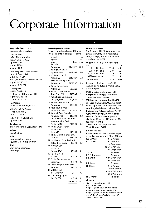# Corporate Information

#### Bougainville Copper Limited

### Oncorporated in Papua New Guinea)

J.

i de la servición de la construcción de la construcción de la construcción de la construcción de la construcció<br>La construcción de la construcción de la construcción de la construcción de la construcción de la construcción

Registered Office:

1st Floor. Mogoru Motu Building. Champion Parade. Port Moresby Papua New Guinea Telephone: 212044 Facsimile: 213634

#### Principal Registered Office in Australia:

Bougainville Copper limited A.RB.N. 007 497 869 level 33, 55 Collins Street, Melbourne, Vic. 3000 Telephone: (03) 283 3333 Facsimile: (03) 283 3707

#### Share Registers:

c/o KPMG Peat Marwick 161 Collins Street. Melbourne, Vic. 3000. Telephone: (03) 288 5555 Facsimile: (03) 288 6237

Postal Address: GPO 80x 1975EE Melbourne. Vic. 3001.

A.C.T.: c/o KPMG Peat Marwick 80 Northbourne Avenue, Canberra City 2601, A.C.T.

P.N.G.: PO Box 1274, Port Moresby, Papua New Guinea

#### Stock Exchanges:

Listed with the Australian Stock Exchange Limited Auditors:

Coopers & Lybrand

#### Bankers:

Commonwealth Bank of Australia Papua New Guinea Banking Corporation

#### Solicitors:

Arthur Robinson & Hedderwicks Gadens Ridgeway

#### Twenty largest shareholders

The twenty largest shareholders as at 16 February, 1994 and the number of shares held by each were:

| Name and                                 |               | % of   | shares, each carrying              |
|------------------------------------------|---------------|--------|------------------------------------|
| Registered                               |               | issued | of shareholders was                |
| Address                                  | <b>Shares</b> | shares | The distribution of h              |
| 1 CRA Limited                            |               |        | was:                               |
| Melbourne Vic                            | 210 788 514   | 52.56  | 1 -<br>1000                        |
| 2 The Independent State of               |               |        | $1001 -$<br>5000                   |
| Papua New Guinea                         | 76 430 809    | 19.06  | 5 001 - 10 000                     |
| 3 ANZ Nominees Limited                   |               |        | 10 001 - shares an                 |
| Melbourne Vic                            | 30 807 834    | 7.68   | <b>Total shareholders</b>          |
| 4 Citicorp Nominees Pty Limited          |               |        |                                    |
| Melbourne Vic                            | 24 398 183    | 6.08   | There were 6 512 h                 |
| 5 National Nominees Limited              |               |        | numbering less then                |
| Melbourne Vic                            | 5 806 228     | 1.45   | a marketable parcel.               |
| 6 Westpac Custodian Nominees             |               |        | 94.33% of the total                |
| <b>Limited Sydney NSW</b>                | 5 669 646     | 1.41   | by or on behalf of th              |
| 7 State Authorities Superannuation       |               |        | The substantial shar               |
| Board Sydney NSW                         | 4 321 400     | 1.08   | CRA Limited and its                |
| 8 CRA Base Metals Pty Limited            |               |        | Base Metals Pty Limi               |
| Melbourne Vic                            | 4 099 452     | 1.02   | The RTZ Corporation                |
| 9 Pendal Nominees Pty Ltd                |               |        | shares through its w               |
| Australia Square NSW                     | 3 717 624     | 0.93   | Holdings Australia P               |
| 10 Bougainville Copper Foundation        |               |        | Australian Holdings                |
| Port Moresby PNG                         | 3 600 000     | 0.90   | Limited and RTZ Inte               |
| 11 State Services & Statuory Authorities |               |        | all of London, UK) in              |
| Superannuation Fund Board                |               |        | Base Metals Ptv Lim                |
| Port Moresby PNG                         | 2 561 500     | 0.64   | The Independent Sta                |
| 12 Barclays Australia Custodian          |               |        | 76 430 809 shares                  |
| Services Limited                         |               |        | Directors' interes                 |
| Sydney NSW                               | 1015798       | 0.25   | Directors' interests in            |
| 13 Westpac Custodian Nominees Limited    |               |        |                                    |
| Sydney NSW                               | 1 000 000     | 0.25   | and its related compa              |
| 14 City of Bradford Metropolitan Council |               |        | D. S. Carruthers                   |
| Bradford United Kingdom                  | 836 000       | 0.21   | R. J. Cornelius                    |
| 15 Lawrence Neville                      |               |        |                                    |
| Lancelot Platt                           |               |        |                                    |
| Kingsgrove NSW                           | 800 000       | 0.20   |                                    |
| 16 Franz Heinrich Rast                   |               |        | J. J. Craig<br>P. G. F. Henderson, |
| <b>Bulli NSW</b>                         | 612 986       | 0.15   | I. R. Johnson                      |
| 17 Victorian Superannuation Board        |               |        |                                    |
| Melbourne Vic                            | 511 900       | 0.13   |                                    |
| 18 Chase Manhattan Nominees Limited      |               |        | R. B. Moaina                       |
| Sydney NSW                               | 487 200       | 0.12   | M. R. Rayner                       |
| 19 MLC Life Limited                      |               |        |                                    |
| North Sydney NSW                         | 421 384       | 0.11   |                                    |
| 20 Ernfold Holdings Pty Ltd              |               |        | M. A. Moramoro                     |
| Carss Park NSW                           | 411 600       | 0.10   |                                    |
|                                          | 378 298 058   | 94.33  | Abbreviations:                     |
|                                          |               |        |                                    |

#### Distribution of shares

×

As at 16 February, 1994: The issued shares of the company were 401 062 500 fully paid one kina shares, each carrying one voting right. The number of shareholders was 19 189.

The distribution of holdings of the issued shares

| was:                                                                                                               |                        | %      |
|--------------------------------------------------------------------------------------------------------------------|------------------------|--------|
| 1 000 shares<br>1 -                                                                                                | 15 748                 | 82.07  |
| $1001 - 5000$ shares                                                                                               | 2 7 9 4                | 14.56  |
| 5 001 - 10 000 shares                                                                                              | 375                    | 1.95   |
| 10 001 - shares and over                                                                                           | 272                    | 1.42   |
| Total shareholders                                                                                                 | 19 189                 | 100.00 |
| There were 6 512 holdings of shares (33.9%)                                                                        |                        |        |
| numbering less then 100 shares which do not form                                                                   |                        |        |
| a marketable parcel.                                                                                               |                        |        |
| 94.33% of the total issued shares were held                                                                        |                        |        |
| by or on behalf of the largest 20 shareholders.                                                                    |                        |        |
| The substantial shareholders were:                                                                                 |                        |        |
| CRA Limited and its wholly-owned subsidiary CRA                                                                    |                        |        |
| Base Metals Pty Limited 214 887 966 shares (53.58%);                                                               |                        |        |
| The RTZ Corporation PLC has an interest in the same                                                                |                        |        |
| shares through its wholly-owned subsidiaries' (Tinto                                                               |                        |        |
| Holdings Australia Pty Limited, Melbourne, Vic., RTZ                                                               |                        |        |
| Australian Holdings Limited, RTZ Pacific Holdings                                                                  |                        |        |
| Limited and RTZ International Holdings Limited,                                                                    |                        |        |
| all of London, UK) interests in CRA Limited and CRA                                                                |                        |        |
| Base Metals Pty Limited;                                                                                           |                        |        |
| The Independent State of Papua New Guinea -                                                                        |                        |        |
| 76 430 809 shares (19.06%).                                                                                        |                        |        |
| Directors' interests                                                                                               |                        |        |
| Directors' interests in the share capital of the company                                                           |                        |        |
| and its related companies as at 16 February, 1994 were:                                                            |                        |        |
| D. S. Carruthers                                                                                                   | 3 828 CRA shares       |        |
| R. J. Cornelius                                                                                                    | 2 088 CRA shares       |        |
|                                                                                                                    | 194 Comalco shares     |        |
|                                                                                                                    | 22 500 CRA (A) options |        |
|                                                                                                                    | 1 000 CRA (B) options  |        |
| J. J. Craig                                                                                                        | No interests           |        |
| P. G. F. Henderson, AC                                                                                             | No interests           |        |
| I. R. Johnson                                                                                                      | 30 000 CRA (A) options |        |
|                                                                                                                    | 1 000 CRA (B) options  |        |
| R. B. Moaina                                                                                                       | No interests           |        |
| M. R. Rayner                                                                                                       | 1 325 CRA shares       |        |
|                                                                                                                    | 65 Comalco shares      |        |
|                                                                                                                    | 50 000 CRA (A) options |        |
|                                                                                                                    | 1 000 CRA (B) options  |        |
| M. A. Moramoro                                                                                                     | No interests           |        |
| Abhreviations:                                                                                                     |                        |        |
| BCL<br>- Bougainville Copper Limited                                                                               |                        |        |
| - CRA Limited<br>CRA                                                                                               |                        |        |
| CRA (A) - Options to acquire CRA shares allocated                                                                  |                        |        |
| pursuant to the Senior Executive Share Plan 1990.                                                                  |                        |        |
| CRA (B) - Options to acquire CRA shares allocated pursuant<br>to the CRA Group Employee Participation Scheme 1990. |                        |        |
|                                                                                                                    |                        |        |

Comalco - Comaleo limited

17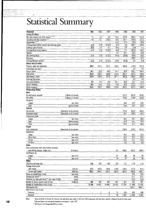### Statistical Summary

:..,:

| <b>Financial</b>                                    |                                                        | 1993                     | 1992                         | 1991                                                 | 1990                                       | 1989                     | 1988              | 1987             |
|-----------------------------------------------------|--------------------------------------------------------|--------------------------|------------------------------|------------------------------------------------------|--------------------------------------------|--------------------------|-------------------|------------------|
| Earnings (K million)                                |                                                        |                          |                              |                                                      |                                            |                          |                   |                  |
| Net sales revenue and other income *****            |                                                        | $\overline{17}$          | 2.2                          | 3.3                                                  | 80.2                                       | 2316                     | 493.4             | 415.4            |
| Operating and other expenses****                    |                                                        | $\overline{4.1}$         | 5.1                          | 316.6                                                | 36.8                                       | 181.7                    | 244.8             | 227.5            |
| Depreciation*****                                   |                                                        | $\overline{a}$           | $\tilde{\phantom{a}}$        | ÷,                                                   | 51.5                                       | 473                      | 43.9              | 49.4             |
| Earnings/(loss) before taxation and exchange gains  |                                                        | (2.4)                    | (2.9)                        | (313.3)                                              | (8.1)                                      | $\overline{26}$          | 204.7             | 138.5            |
| Exchange gains/(losses)                             |                                                        | (0.3)                    | $\overline{1.5}$             | $\overline{0.1}$                                     | (0.5)                                      | $\overline{2.5}$         | (2.9)             | 6.7              |
| Earnings/(loss) before taxation                     |                                                        | (2.7)                    | (1.4)                        | (313.2)                                              | (8.6)                                      | $\overline{5.1}$         | 201.8             | 144.2            |
| Taxation                                            |                                                        | $\blacksquare$           | $\equiv$                     | $\blacksquare$                                       | 60                                         | 257                      | 93.2              | 50.6             |
| Net earnings/(loss)                                 |                                                        | (2.7)                    | (14)                         | (313.2)                                              | (14.6)                                     | (20.6)                   | 108.6             | 93.6             |
| <b>Dividends</b>                                    |                                                        |                          |                              |                                                      |                                            |                          | 108.3             | 92.2             |
| Earnings/(losses) retained                          |                                                        | (2.7)                    | (1.4)                        | (313.2)                                              | (14.6)                                     | (20.6)                   | $\overline{0.3}$  | (1.8)            |
| Balance sheet (K million)                           |                                                        |                          |                              |                                                      |                                            |                          |                   |                  |
| Property, plant and equipment                       |                                                        | 200.8                    | 2014                         | 201.5                                                | 545.9                                      | 595.8                    | 570.0             | 527.8            |
| Investments and loans                               |                                                        |                          | $\overline{\phantom{0}}$     | u,                                                   | $\ddot{\phantom{a}}$                       | $\overline{a}$           | $\overline{2.2}$  | 0.7              |
| Current assets                                      |                                                        | 56.2                     | 56.8                         | 56.5                                                 | 64.7                                       | 595                      | 250.1             | 260.3            |
| Total assets                                        |                                                        | 257.0                    | 258.2                        | 258.0                                                | 610.6                                      | 655.3                    | 822.3             | 788.8            |
| Shareholders' funds                                 |                                                        | 233.8                    | 236.4                        | 237.9                                                | 551.1                                      | 565.6                    | 586.2             | 586.0            |
| Exchange fluctuation                                |                                                        | $\overline{\phantom{a}}$ | $\overline{\phantom{a}}$     | $\frac{1}{2}$                                        | $\overline{a}$                             | ÷,                       | $\overline{0.2}$  | 0.3              |
| Long term liabilities                               |                                                        | 6.8                      | 6.8                          | 6.8                                                  | 47.7                                       | 469                      | 23.7              | 24.8             |
| Current liabilities                                 |                                                        | 164                      | $\overline{15.0}$            | 13.3                                                 | 11.8                                       | 42.8                     | 212.2             | 177.7            |
| Funds employed                                      |                                                        | 257.0                    | 258.2                        | 258.0                                                | 610.6                                      | 655.3                    | 822.3             | 788.8            |
| <b>Production/Sales</b>                             |                                                        |                          |                              |                                                      |                                            |                          |                   |                  |
| Mined                                               |                                                        |                          |                              |                                                      |                                            |                          |                   |                  |
| Ore and waste removed                               | (millions of tonnes)                                   |                          |                              |                                                      |                                            | 33.27                    | 89.78             | 83.53            |
| <b>Ore</b> milled                                   | (millions of tonnes)                                   | $\overline{a}$           | $\blacksquare$               | $\equiv$                                             | $\frac{1}{2}$<br>$\blacksquare$            | 18.52                    | 47.69             | 48.20            |
| Ore grade                                           |                                                        |                          |                              |                                                      |                                            |                          |                   |                  |
| Copper                                              |                                                        |                          |                              |                                                      |                                            | 0.44                     | 0.41              |                  |
| Gold                                                | (per cent)<br>{grams/tonne}                            |                          |                              | $\overline{\phantom{a}}$<br>$\overline{\phantom{a}}$ | $\overline{\phantom{a}}$                   | 0.50                     | 0.41              | 0.41<br>0.43     |
| Produced                                            |                                                        | $\overline{a}$           | $\overline{a}$               |                                                      | $\overline{\phantom{a}}$                   |                          |                   |                  |
|                                                     |                                                        |                          |                              |                                                      |                                            | 224.6                    |                   |                  |
| Concentrate<br>Contained copper                     | (thousands of dry tonnes)<br>(thousands of dry tonnes) |                          |                              | $\blacksquare$                                       | $\overline{\phantom{a}}$<br>$\blacksquare$ | 687                      | 552.0<br>166.0    | 585.5<br>178.2   |
| Concentrate grade                                   |                                                        |                          |                              |                                                      |                                            |                          |                   |                  |
|                                                     |                                                        |                          |                              | $\blacksquare$                                       |                                            | 30.1                     | 30.1              | 30.4             |
| Copper<br>Gold                                      | (per cent)                                             | $\overline{\phantom{a}}$ | $\overline{\phantom{0}}$     | $\overline{\phantom{a}}$                             | $\frac{1}{2}$                              | 310                      | 25.1              | 25.8             |
| Silver                                              | (grams/tonne)                                          | $\overline{\phantom{0}}$ | $\overline{a}$<br>w.         | $\overline{\phantom{0}}$                             | $\overline{\phantom{a}}$                   | 91.2                     | $\overline{87.7}$ | 86.4             |
| Shipped                                             | (grams/tonne)                                          | $\overline{a}$           |                              | $\overline{\phantom{a}}$                             | $\overline{\phantom{a}}$                   |                          |                   |                  |
| Total concentrate                                   |                                                        |                          |                              |                                                      |                                            | 250.8                    | 570.8             | 567.6            |
| Destination:                                        | (thousands of dry tonnes)                              | ۰                        | 4                            |                                                      | $\hat{\phantom{a}}$                        |                          |                   |                  |
|                                                     |                                                        |                          |                              |                                                      |                                            |                          |                   |                  |
| Japan<br>Other Asian                                | (per cent)                                             |                          |                              |                                                      |                                            | 40.2<br>34.3             | 45.4<br>23.4      | 32.6<br>33.5     |
| Europe                                              | (per cent)                                             |                          | $\overline{a}$               | $\overline{a}$                                       | $\frac{1}{2}$                              | 25.5                     | $\overline{27.7}$ | 33.9             |
| All Other                                           | (per cent)                                             |                          | ۰                            |                                                      |                                            |                          | 3.5               | $\overline{0.0}$ |
| <b>Values</b>                                       | (per cent)                                             | -                        | $\overline{\phantom{0}}$     | $\overline{\phantom{0}}$                             | $\overline{\phantom{a}}$                   | 0.0                      |                   |                  |
| Gross concentrate sales value (before treatment     |                                                        |                          |                              |                                                      |                                            |                          |                   |                  |
|                                                     |                                                        |                          |                              |                                                      |                                            |                          |                   |                  |
| and refining charges, freight, etc.)                | (K million)                                            |                          |                              |                                                      | 0.3                                        | 260.0                    | 561.0             | 489.4            |
| Contribution by:                                    |                                                        |                          |                              |                                                      |                                            |                          |                   |                  |
| Copper                                              | (per cent)                                             |                          |                              |                                                      | 61                                         | 68                       | 68                | 60               |
| Gold<br><b>Other</b>                                | (per cent)                                             |                          |                              |                                                      | $\overline{38}$                            | $\overline{31}$          | $\overline{30}$   | $\overline{38}$  |
|                                                     |                                                        |                          |                              |                                                      |                                            |                          |                   |                  |
| US\$/Kina exchange rate                             |                                                        | 1.02                     | 1.04                         | 1.05                                                 | 1.05                                       | 1.17                     | 1.16              | 1.10             |
| Average metal prices                                |                                                        |                          |                              |                                                      |                                            |                          |                   |                  |
| LME copper                                          | (USc/ib                                                | 87.0                     | 103.0                        | 106.0                                                | 119.8                                      | 129.0                    | 117.9             | 81.0             |
| London gold market                                  | (USS/oz)                                               | 360.0                    | 344.0                        | 362.2                                                | 382.8                                      | 381.0                    | 436.8             | 446.7            |
| Return on shareholders' funds                       | (per cent)                                             | $\Box$                   |                              |                                                      |                                            |                          | 18.5              | 16.0             |
| Earnings per share***                               | (toea)                                                 | $\blacksquare$           | ÷,                           | $\tilde{\phantom{a}}$                                | ä,                                         | $\overline{\phantom{0}}$ | 27.1              | 23.3             |
| Dividends per fully paid share*** (par value K1.00) | (toea)                                                 | $\overline{\phantom{a}}$ | $\qquad \qquad \blacksquare$ |                                                      | -                                          | $\overline{a}$           | 27.0              | 23.0             |
| Number of shares issued at end of year              | (millions)                                             | 401                      | 401                          | 401                                                  | 401                                        | 401                      | 401               | $\overline{401}$ |
| Number of shareholders at end of year               |                                                        | $19 \overline{189}$      | 19 851                       | 19 982                                               | 20532                                      | $21\,287$                | 21 966            | 22 650           |
| Debt/equity ratio                                   |                                                        | $\blacksquare$           | $\blacksquare$               | $\blacksquare$                                       | Ľ,                                         |                          | .002/1            | .004/1           |
| Work force at end of year                           |                                                        |                          |                              |                                                      |                                            |                          |                   |                  |
| Overseas                                            |                                                        |                          |                              | 6                                                    | 13                                         | 330                      | 610               | 699              |
| National                                            |                                                        |                          |                              | $\overline{6}$                                       | 10                                         | 1987                     | 2950              | 3025             |

'-'-.. \_- ---- ..... " .\_--" \_ .. \_-.-- \_. ,---------" .. • ,, \_\_\_ ~-\_\_ .~\_' \_\_\_ "" •• \_\_ • \_\_\_\_ '" \_\_\_ • \_\_ ~, .\_,\_.\_~ \_\_ ~.\_. \_\_ " \_\_ ,'-\_\_\_ '\_ - - ."\_' e' \_\_

-.-------:.--.~~

Notes: Bonus dividends of 4.0 and 6.7 toea per fully paid share were made in 1979 and 1980 respectively and have been included in dividend figures for those years. 18 \*Full year figures; but commercial production commenced 1 April, 1972

\*\*1972 figure is for Bougainville Mining Limited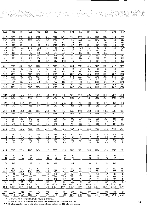1986 1985 1984 1983 1982 1981 1980 1979 1978 1977 1976 1975 1974 1973 1972' . 342.7 317.6 310.9 391.9 283.1 296.4 338} 3431 225.1 105.3 208.9 193.1 192.6 *251A* 95.9 223} 221.5 234.8 228.1 107.2 210.8 174.8 14.4.1 125.0 116.8 117.5 107.2 92.5 *81.B* 53.3 47.3 47.6 46.5 47.0 44.2 43.3 *43.B* 40} 40.4 36.2 31.1 29.6 *1B.5 24.B* 14.5 71.7 *4B.5* 29.6 *117.B 31.B* 42.3 120.1 *15B.3* 59} 42.3 60.3 56.3 171.6 *145.B* 2B.I 2.3 *(1A)* 12.B) 116.3) 13.3) 1.1 2.6 3.5 10.3 10 1) 1.3 2.3 9.5 11.9 10.4) 74.0 47.1 *16.B* 101.5 *2B.5* 43.4 112.7 *161.B* 70.0 41.1 61.6 *5B.6 1B1.1 15B}* 2)} *2B}* 19.0 15.2 46.9 17.3 20.6 51.2 77.9 220 13} 20.3 *11A* 66.5 0.3

 $\tilde{\mathcal{X}}$  $\sim$ 

XX.

ŵ.

ilian<br>A

 $\label{eq:1} \mathcal{L}_{\mathbf{z}}\left(\mathbf{x}\right) = \frac{1}{2}\sum_{i=1}^{N} \mathbf{z}_{i} \mathbf{z}_{i}$ 

| 44.1  | 28.1  | 16.O  | 52.1    | 10.0  | 20. i | 80.2  | 106.9  | 40.   | 21.4  | 26.7  | 26.7  | 73.5  | 81.4  | 11.0  |
|-------|-------|-------|---------|-------|-------|-------|--------|-------|-------|-------|-------|-------|-------|-------|
| 1.2   |       | (4.4) | 2.5     | ົ     | 2.7   | (8,7) | (23.0) | 7.9   | Ι.    | 14.6  | 19.5  | 41.1  | 77.U  | 16.7  |
|       |       |       |         |       |       |       |        |       |       |       |       |       |       |       |
| 550.1 | 558.5 | 5762  | 594.9   | 622.8 | 6112  | 610.8 | 325.4  | 340.1 | 352.2 | 350.4 | 346.0 | 352.2 | 371.7 | 378.7 |
| 0.7   | 0.2   | 0.2   | $0.3\,$ | 0.1   |       | 0.1   | 0.1    | 0.1   | 0.1   | 0.1   | Ο.    | 0.1   | 0.    |       |
| 190.1 | 160.4 | 152.9 | 185.3   | 155.9 | 148.7 | 48.4  | 201.0  | 125.8 | 137.1 | 136.0 | 129.5 | 205.6 | 130.4 | 73.9  |
| 740.9 | 719.1 | 729.3 | 780.5   | 778.8 | 760.0 | 759.3 | 526.5  | 466.0 | 489.4 | 486.5 | 475.6 | 557.9 | 502.2 | 452.6 |
| 587.7 | 586.5 | 586.5 | 590.9   | 588.4 | 587.2 | 584.5 | 294.5  | 317.5 | 309.7 | 302.5 | 287.9 | 268.4 | 227.4 | 146.7 |
| (3.2) | (5.9) | (5.3) | (4.7)   | l.5   | 1.5   | 5.1   | 5.4    | 9.0   | 14.6  | 9.0   | 11.5  | 19.   | 39.5  | 24.2  |
| 48.1  | 52.4  | 52.5  | 51.6    | 125.6 | 80.1  | 25.7  | 36.2   | 42.1  | 53.3  | 101.7 | 106.8 | 121.1 | 127.5 | 204.0 |
| 108.3 | 86.1  | 95.6  | 142.7   | 70.2  | 91.2  | 144.D | 190.4  | 974   | 11.8  | 73.3  | 69.4  | 149 3 | 107.8 | 77.7  |
| 740.9 | 719.1 | 729.3 | 780.5   | 778.8 | 760.0 | 759.3 | 526.5  | 466.0 | 489.4 | 486.5 | 475.6 | 557.9 | 502.2 | 452.6 |
|       |       |       |         |       |       |       |        |       |       |       |       |       |       |       |

45.3 2B.I 11.6 54.6 11.2 *22.B* 71.5 *B3.9* 4B.0 28.5 41.3 46.2 114.6 158.4 2)}

| 79.16           | 73.62             | 74.4             | 81.00             | 76.22            | 77.56           | 79.76             | 75.97             | 79.05             | 70.79            | 58.54            | 56.40            | 56.00             | 56.65           | 46.75             |
|-----------------|-------------------|------------------|-------------------|------------------|-----------------|-------------------|-------------------|-------------------|------------------|------------------|------------------|-------------------|-----------------|-------------------|
| 4789            | 50.07             | 46.52            | 47.73             | 41.74            | 37.53           | 37.62             | 36.17             | 38.12             | 34.11            | 31.21            | 31.08            | 30.14             | 29.14           | 2189              |
| 0.42            | 0.42              | 0.42             | 0.46              | 0.47             | 0.51            | 0.46              | 0.55              | 0.60              | 0.61             | 0.64             | 0.64             | 0.70              | 0.73            | 0.76              |
| 0.48            | $\overline{0.42}$ | 0.48             | 0.55              | 0.60             | 0.59            | 0.50              | $\overline{0.75}$ | $\overline{0.82}$ | 0.90             | 0.87             | 0.80             | 1.02              | 1.03            | $\overline{0.77}$ |
|                 |                   |                  |                   |                  |                 |                   |                   |                   |                  |                  |                  |                   |                 |                   |
| 586.6           | 581.8             | 5423             | 636.9             | 598.6            | 576.4           | 510.4             | 584.7             | 658.6             | 615.6            | 596.8            | 596.0            | 640.8             | 650.2           | 438.1             |
| 178.6           | 175.0             | 164.4            | 183.2             | 170.0            | 165.4           | 146.8             | 170.8             | 198.6             | 182.3            | 176.5            | 172.5            | 184.1             | 182.9           | 124.0             |
|                 |                   |                  |                   |                  |                 |                   |                   |                   |                  |                  |                  |                   |                 |                   |
| 30.5            | 30.1              | 30.3             | $\overline{28.8}$ | 28.4             | 28.7            | $\overline{28.8}$ | $\overline{29.2}$ | 30.2              | 29.6             | 29.6             | 28.9             | $\overline{28.7}$ | 28.1            | $\overline{28.3}$ |
| 27.9            | 24.7              | 28.9             | 28.3              | 29.3             | 29.2            | 27.5              | 33.7              | 35.5              | 36.3             | 33.9             | 30.5             | 32.0              | 31.6            | $\overline{27.3}$ |
| 85.9            | 79.3              | 81.9             | 74.4              | 72.1             | 735             | 72.2              | 76.3              | 79.8              | 77.0             | 76.1             | 71.0             | 72.3              | 69.0            | 69.3              |
| 589.4           | 560.0             | 550.8            | 636.1             | 599.6            | 596.2           | 494.4             | 586.5             | 640.9             | 614.8            | 605.8            | 587,0            | 665.8             | 625.2           | 434.4             |
|                 |                   |                  |                   |                  |                 |                   |                   |                   |                  |                  |                  |                   |                 |                   |
| 43.2            | 44.1              | 51.9             | 47.0              | 46.6             | 49.8            | 54.5              | 56.0              | 51.0              | 54.8             | 42.3             | 42.7             | 51.5              | 54.8            | 48.1              |
| 15.4            | 15.7              | 12.3             | 11.0              | 6.6              | 3.3             | 4.1               | 3.7               | 3.2               | 1.6              | 1.7              | 1.7              | 0.0               | 0.0             | 0.0               |
| 41.4            | 40.2              | 35.8             | 42.0              | 45.1             | 45.4            | 41.4              | 40.3              | $\overline{42.0}$ | 39.9             | 46.5             | 53.8             | 41.9              | 37.8            | 49.4              |
| 0.0             | $\overline{0.0}$  | 0 <sub>0</sub>   | 0.0               | 1.7              | $\overline{15}$ | 0.0               | $\overline{0.0}$  | $\overline{3.8}$  | $\overline{3.7}$ | $\overline{9.5}$ | $\overline{1.8}$ | 66                | 7.4             | $\overline{2.5}$  |
|                 |                   |                  |                   |                  |                 |                   |                   |                   |                  |                  |                  |                   |                 |                   |
| 417.9           | 381.3             | 373.4            | 454.6             | 343.6            | 355.2           | 386.3             | 407.0             | 294.5             | 266.3            | 260.3            | 219.4            | 307.4             | 270.8           | 118.8             |
| 54              | 61                | 53               | 52                | 51               | 54              | 51                | 60                | 64                | 66               | 74               | 69               | 74                | 83              | 83                |
| $\overline{44}$ | $\overline{37}$   | 45               | 46                | $\overline{47}$  | 44              | $\overline{46}$   | $\overline{37}$   | $\overline{34}$   | $\overline{32}$  | $\overline{24}$  | $\overline{29}$  | $\overline{25}$   | $\overline{16}$ | $\overline{16}$   |
|                 |                   |                  |                   |                  |                 |                   |                   |                   |                  |                  |                  |                   |                 |                   |
| 1.03            | 1.00              | 1.11             | 1.19              | 1.35             | 1.48            | 1.50              | 1.41              | 1.42              | 1.27             | 1.26             | 131              | 1.43              | 1.42            | 1.19              |
| 62.3            | 64.3              | 62.4             | 71.9              | 67.1             | 79.0            | 99.2              | 89.8              | 61,9              | 59.3             | 63.6             | 55.9             | 93.3              | 80.9            | 48.6              |
| 367.9           | 317.3             | 360.8            | 423.5             | 375.6            | 459.9           | 6147              | 304.7             | 193.5             | 147.8            | 124.8            | 160.9            | 158.7             | 97.3            | 58.2              |
| 7.7             | 4.8               | 2.0              | 9.3               | 1.9              | $\overline{39}$ | 16.3              | 27.4              | 153               | 93               | 14.0             | 16.6             | 46.2              | 84.1            | 18.9              |
| 11.3            | 7.0               | $\overline{2.9}$ | 13.6              | $\overline{2.8}$ | $\overline{57}$ | $\overline{17.8}$ | $\overline{20.9}$ | $\overline{12.0}$ | $\overline{7}1$  | 10.3             | 11.5             | 28.6              | 39.5            | $\overline{6.9}$  |
|                 |                   |                  |                   |                  |                 |                   |                   |                   |                  |                  |                  |                   |                 |                   |

11.0 7.0 4.0 13.0 1.5 5.0 10.0 26.7 10.0 5.3 6.7 6.7 18.3 20.0 2.7 401 401 401 401 401 401 401 267 267 267 267 267 267 267 267 2 4680 27 117 30 435 32 834 36 486 38 027 38 326 38 750 40 935 43 820 50 082 54 129 55 558 45 353 <u>4</u>6 726 J.05/1 0.06/1 0.09/1 0.10/1 0.20/1 0.17/1 0.05/1 0.15/1 019/1 037/1 0.40/1 0.44/1 0.51/1 0.72/1 0.62/1

706 704 749 751 756 801 877 851 855 853 858 941 980 919 971

2993 2948 2987 3058 3 174 3377 3416 3314 3243 3063 2989 3094 3142 2915 2594 \*\*\*1972 to 1979 figures are after adjustment for the 1980 capital reconstruction

l.

 $\begin{array}{c} \begin{array}{c} \begin{array}{c} \begin{array}{c} \end{array} \\ \begin{array}{c} \end{array} \end{array} \end{array} \end{array} \end{array}$ 

in 1998.<br>Links

**HU 1989. 1990 and 1991 include extraordinary items of K26.1 million. K28.7 million and K309.2 million respectively 19 and 1980 and 1991 include extraordinary items of K26.1 million. K28.7 million and K309.2 million respec** 

\*\*\*\*\*1990 includes extraordinary items of K76.3 million for insurance litigation settlement and K51.5 million for depreciation.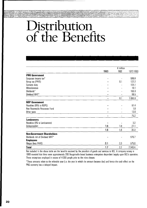# **Distribution of the Benefits**

|                                    |      | $\overline{K}$ million |             |
|------------------------------------|------|------------------------|-------------|
|                                    | 1993 | 1992                   | 1972-1993   |
| <b>PNG Government</b>              |      |                        |             |
| Corporate income tax*              |      |                        | 586.8       |
| Group tax (PAYE)                   |      | 0.1                    | 122.2       |
| Customs duty                       |      |                        | 104.1       |
| Miscellaneous                      |      |                        | 10.1        |
| Dividends*                         |      |                        | 165.9       |
| Dividend WHT*                      |      |                        | 96.5        |
|                                    |      | 0.1                    | 1085.6      |
| <b>NSP Government</b>              |      |                        |             |
| Royalties (95% to NSPG)            |      |                        | 61.4        |
| Non Renewable Resources Fund       |      |                        | 1.8         |
| Other taxes                        |      |                        | 12.0        |
|                                    | -    |                        | 75.2        |
| <b>Landowners</b>                  |      |                        |             |
| Royalties (5% to Landowners)       |      |                        | 3.2         |
| Compensation                       | 1.6  | 1.8                    | 27.1        |
|                                    | 1.6  | 1.8                    | 30.3        |
| <b>Non-Government Shareholders</b> |      |                        |             |
| Dividends net of Dividend WHT*     |      |                        | 576.7       |
| <b>Employees</b>                   |      |                        |             |
| Wages (less PAYE)                  | 0.1  | 0.3                    | 575.6       |
| <b>Total</b>                       | 1.7  | 2.2                    | 2 3 4 3 . 4 |

Not included in the above table are the benefits received by the providers of goods and services to BCL. A company survey in 1989 revealed that there were approximately 200 Bougainville based business enterprises dependent largely upon BCl's operation. These enterprises employed in excess of 4 000 people prior to the mine closure.

\*These amounts relate to the referable year (i.e. the year in which the amount became due) and hence the cash effect on the PNG economy has a delayed impact.